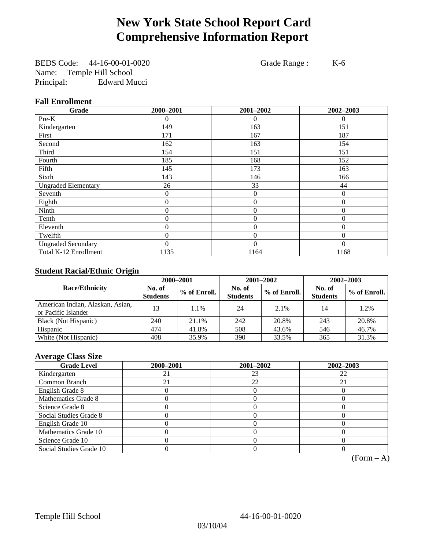# **New York State School Report Card Comprehensive Information Report**

BEDS Code: 44-16-00-01-0020 Grade Range : K-6 Name: Temple Hill School<br>Principal: Edward Mi **Edward Mucci** 

### **Fall Enrollment**

| Grade                      | 2000-2001 | 2001-2002        | 2002-2003 |
|----------------------------|-----------|------------------|-----------|
| Pre-K                      | 0         | $\Omega$         | $\Omega$  |
| Kindergarten               | 149       | 163              | 151       |
| First                      | 171       | 167              | 187       |
| Second                     | 162       | 163              | 154       |
| Third                      | 154       | 151              | 151       |
| Fourth                     | 185       | 168              | 152       |
| Fifth                      | 145       | 173              | 163       |
| Sixth                      | 143       | 146              | 166       |
| <b>Ungraded Elementary</b> | 26        | 33               | 44        |
| Seventh                    | 0         | $\boldsymbol{0}$ | $\theta$  |
| Eighth                     | 0         | $\theta$         | $\theta$  |
| Ninth                      | 0         | $\theta$         | $\Omega$  |
| Tenth                      | 0         | $\boldsymbol{0}$ | $\theta$  |
| Eleventh                   | 0         | $\overline{0}$   | $\theta$  |
| Twelfth                    | 0         | $\boldsymbol{0}$ | $\Omega$  |
| <b>Ungraded Secondary</b>  | 0         | $\theta$         | $\Omega$  |
| Total K-12 Enrollment      | 1135      | 1164             | 1168      |

### **Student Racial/Ethnic Origin**

|                                                         | 2000-2001                 |              |                           | 2001-2002    | $2002 - 2003$             |                |
|---------------------------------------------------------|---------------------------|--------------|---------------------------|--------------|---------------------------|----------------|
| <b>Race/Ethnicity</b>                                   | No. of<br><b>Students</b> | % of Enroll. | No. of<br><b>Students</b> | % of Enroll. | No. of<br><b>Students</b> | $%$ of Enroll. |
| American Indian, Alaskan, Asian,<br>or Pacific Islander | 13                        | 1.1%         | 24                        | 2.1%         | 14                        | 1.2%           |
| Black (Not Hispanic)                                    | 240                       | 21.1%        | 242                       | 20.8%        | 243                       | 20.8%          |
| Hispanic                                                | 474                       | 41.8%        | 508                       | 43.6%        | 546                       | 46.7%          |
| White (Not Hispanic)                                    | 408                       | 35.9%        | 390                       | 33.5%        | 365                       | 31.3%          |

### **Average Class Size**

| <b>Grade Level</b>      | 2000-2001 | 2001-2002 | 2002-2003 |
|-------------------------|-----------|-----------|-----------|
| Kindergarten            |           | 23        | 22        |
| Common Branch           |           | 22        | 21        |
| English Grade 8         |           |           |           |
| Mathematics Grade 8     |           |           |           |
| Science Grade 8         |           |           |           |
| Social Studies Grade 8  |           |           |           |
| English Grade 10        |           |           |           |
| Mathematics Grade 10    |           |           |           |
| Science Grade 10        |           |           |           |
| Social Studies Grade 10 |           |           |           |

 $(Form - A)$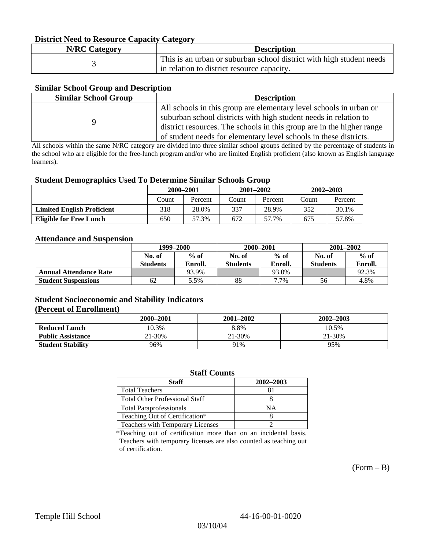### **District Need to Resource Capacity Category**

| <b>N/RC Category</b> | <b>Description</b>                                                   |
|----------------------|----------------------------------------------------------------------|
|                      | This is an urban or suburban school district with high student needs |
|                      | in relation to district resource capacity.                           |

### **Similar School Group and Description**

| <b>Similar School Group</b> | <b>Description</b>                                                    |
|-----------------------------|-----------------------------------------------------------------------|
|                             | All schools in this group are elementary level schools in urban or    |
|                             | suburban school districts with high student needs in relation to      |
|                             | district resources. The schools in this group are in the higher range |
|                             | of student needs for elementary level schools in these districts.     |

All schools within the same N/RC category are divided into three similar school groups defined by the percentage of students in the school who are eligible for the free-lunch program and/or who are limited English proficient (also known as English language learners).

#### **Student Demographics Used To Determine Similar Schools Group**

|                                   | 2000-2001 |         | $2001 - 2002$ |         | $2002 - 2003$ |         |
|-----------------------------------|-----------|---------|---------------|---------|---------------|---------|
|                                   | Count     | Percent | Count         | Percent | Count         | Percent |
| <b>Limited English Proficient</b> | 318       | 28.0%   | 337           | 28.9%   | 352           | 30.1%   |
| Eligible for Free Lunch           | 650       | 57.3%   | 672           | 57.7%   | 675           | 57.8%   |

#### **Attendance and Suspension**

|                               | 1999–2000        |         | 2000-2001        |         | $2001 - 2002$   |         |
|-------------------------------|------------------|---------|------------------|---------|-----------------|---------|
|                               | $%$ of<br>No. of |         | $%$ of<br>No. of |         | No. of          | $%$ of  |
|                               | <b>Students</b>  | Enroll. | Students         | Enroll. | <b>Students</b> | Enroll. |
| <b>Annual Attendance Rate</b> |                  | 93.9%   |                  | 93.0%   |                 | 92.3%   |
| <b>Student Suspensions</b>    | 62               | 5.5%    | 88               | 7.7%    | 56              | 4.8%    |

### **Student Socioeconomic and Stability Indicators (Percent of Enrollment)**

|                          | 2000-2001 | $2001 - 2002$ | 2002-2003 |
|--------------------------|-----------|---------------|-----------|
| <b>Reduced Lunch</b>     | 10.3%     | 8.8%          | 10.5%     |
| <b>Public Assistance</b> | 21-30%    | 21-30%        | 21-30%    |
| <b>Student Stability</b> | 96%       | 91%           | 95%       |

#### **Staff Counts**

| Staff                                 | 2002-2003 |
|---------------------------------------|-----------|
| <b>Total Teachers</b>                 |           |
| <b>Total Other Professional Staff</b> |           |
| <b>Total Paraprofessionals</b>        | NΑ        |
| Teaching Out of Certification*        |           |
| Teachers with Temporary Licenses      |           |

\*Teaching out of certification more than on an incidental basis. Teachers with temporary licenses are also counted as teaching out of certification.

 $(Form - B)$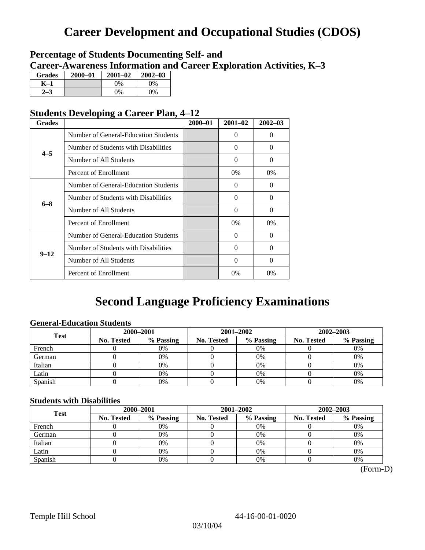# **Career Development and Occupational Studies (CDOS)**

### **Percentage of Students Documenting Self- and Career-Awareness Information and Career Exploration Activities, K–3**

| <b>Grades</b> | $2000 - 01$ | $2001 - 02$ | $2002 - 03$ |
|---------------|-------------|-------------|-------------|
| K-1           |             | 0%          | $0\%$       |
| 72            |             | $0\%$       | $0\%$       |

### **Students Developing a Career Plan, 4–12**

| <b>Grades</b> |                                      | $2000 - 01$ | $2001 - 02$ | $2002 - 03$ |
|---------------|--------------------------------------|-------------|-------------|-------------|
|               | Number of General-Education Students |             | $\Omega$    | $\theta$    |
| $4 - 5$       | Number of Students with Disabilities |             | $\Omega$    | 0           |
|               | Number of All Students               |             | 0           | 0           |
|               | Percent of Enrollment                |             | 0%          | 0%          |
|               | Number of General-Education Students |             | $\Omega$    | 0           |
| $6 - 8$       | Number of Students with Disabilities |             | $\Omega$    | $\Omega$    |
|               | Number of All Students               |             | $\Omega$    | $\Omega$    |
|               | Percent of Enrollment                |             | $0\%$       | $0\%$       |
|               | Number of General-Education Students |             | $\Omega$    | 0           |
| $9 - 12$      | Number of Students with Disabilities |             | 0           | 0           |
|               | Number of All Students               |             | $\Omega$    | $\theta$    |
|               | Percent of Enrollment                |             | 0%          | $0\%$       |

# **Second Language Proficiency Examinations**

### **General-Education Students**

| <b>Test</b> | 2000-2001  |           |                   | 2001-2002 | 2002-2003         |           |
|-------------|------------|-----------|-------------------|-----------|-------------------|-----------|
|             | No. Tested | % Passing | <b>No. Tested</b> | % Passing | <b>No. Tested</b> | % Passing |
| French      |            | 0%        |                   | $0\%$     |                   | 0%        |
| German      |            | 0%        |                   | 0%        |                   | 0%        |
| Italian     |            | 0%        |                   | 0%        |                   | 0%        |
| Latin       |            | 0%        |                   | $0\%$     |                   | 0%        |
| Spanish     |            | 0%        |                   | 0%        |                   | 0%        |

### **Students with Disabilities**

| <b>Test</b> | 2000-2001         |           |            | 2001-2002 | 2002-2003         |           |  |
|-------------|-------------------|-----------|------------|-----------|-------------------|-----------|--|
|             | <b>No. Tested</b> | % Passing | No. Tested | % Passing | <b>No. Tested</b> | % Passing |  |
| French      |                   | 0%        |            | 0%        |                   | 0%        |  |
| German      |                   | 0%        |            | 0%        |                   | 0%        |  |
| Italian     |                   | 0%        |            | $0\%$     |                   | 0%        |  |
| Latin       |                   | 0%        |            | 0%        |                   | 0%        |  |
| Spanish     |                   | 0%        |            | 0%        |                   | 0%        |  |

 <sup>(</sup>Form-D)